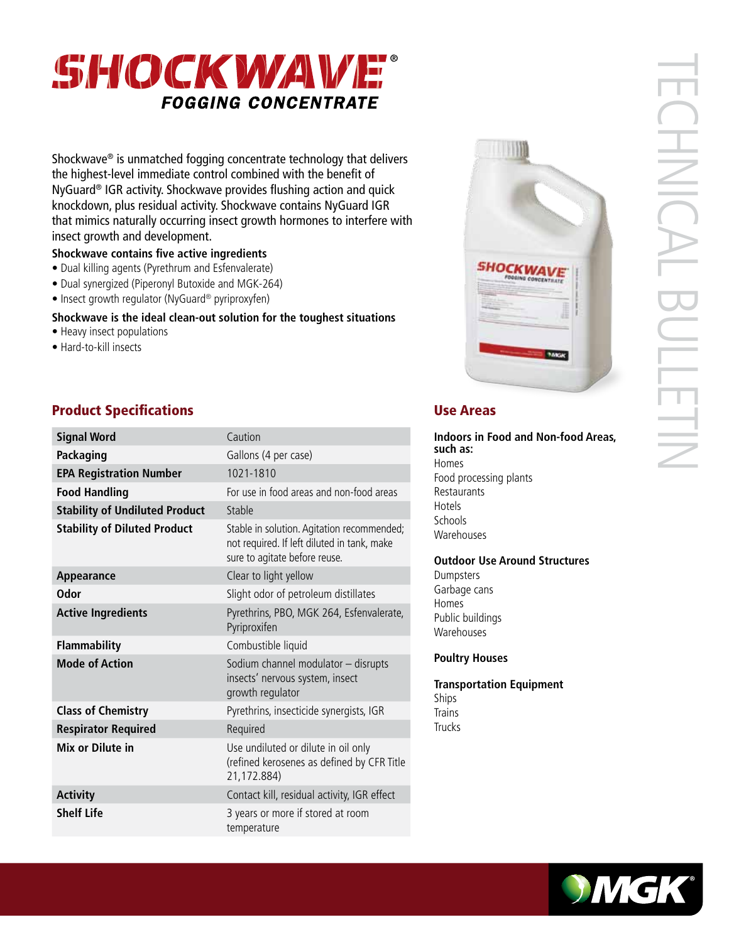

Shockwave® is unmatched fogging concentrate technology that delivers the highest-level immediate control combined with the benefit of NyGuard® IGR activity. Shockwave provides flushing action and quick knockdown, plus residual activity. Shockwave contains NyGuard IGR that mimics naturally occurring insect growth hormones to interfere with insect growth and development.

## **Shockwave contains five active ingredients**

- Dual killing agents (Pyrethrum and Esfenvalerate)
- Dual synergized (Piperonyl Butoxide and MGK-264)
- Insect growth regulator (NyGuard® pyriproxyfen)

#### **Shockwave is the ideal clean-out solution for the toughest situations**

- Heavy insect populations
- Hard-to-kill insects

# **Product Specifications Exercise Areas** Use Areas

| <b>Signal Word</b>                    | Caution                                                                                                                    |
|---------------------------------------|----------------------------------------------------------------------------------------------------------------------------|
| Packaging                             | Gallons (4 per case)                                                                                                       |
| <b>EPA Registration Number</b>        | 1021-1810                                                                                                                  |
| <b>Food Handling</b>                  | For use in food areas and non-food areas                                                                                   |
| <b>Stability of Undiluted Product</b> | Stable                                                                                                                     |
| <b>Stability of Diluted Product</b>   | Stable in solution. Agitation recommended;<br>not required. If left diluted in tank, make<br>sure to agitate before reuse. |
| Appearance                            | Clear to light yellow                                                                                                      |
| Odor                                  | Slight odor of petroleum distillates                                                                                       |
| <b>Active Ingredients</b>             | Pyrethrins, PBO, MGK 264, Esfenvalerate,<br>Pyriproxifen                                                                   |
| <b>Flammability</b>                   | Combustible liquid                                                                                                         |
| <b>Mode of Action</b>                 | Sodium channel modulator - disrupts<br>insects' nervous system, insect<br>growth regulator                                 |
| <b>Class of Chemistry</b>             | Pyrethrins, insecticide synergists, IGR                                                                                    |
| <b>Respirator Required</b>            | Required                                                                                                                   |
| Mix or Dilute in                      | Use undiluted or dilute in oil only<br>(refined kerosenes as defined by CFR Title<br>21,172.884)                           |
| <b>Activity</b>                       | Contact kill, residual activity, IGR effect                                                                                |
| <b>Shelf Life</b>                     | 3 years or more if stored at room<br>temperature                                                                           |



# TECHNICAL BULLETIN **CHNICAL E NIETIN**

**Indoors in Food and Non-food Areas, such as:** Homes Food processing plants Restaurants Hotels **Schools Warehouses** 

#### **Outdoor Use Around Structures**

Dumpsters Garbage cans Homes Public buildings **Warehouses** 

#### **Poultry Houses**

**Transportation Equipment**  Ships **Trains** Trucks